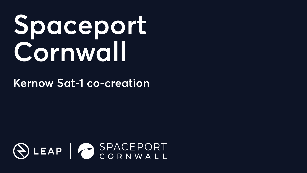# **Spaceport Cornwall**

### **Kernow Sat-1 co-creation**

## OLEAP GORNWALL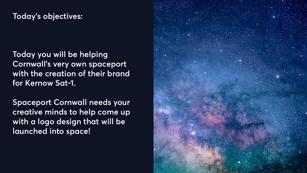**Today you will be helping Cornwall's very own spaceport with the creation of their brand for Kernow Sat-1.**

**Spaceport Cornwall needs your creative minds to help come up with a logo design that will be launched into space!**

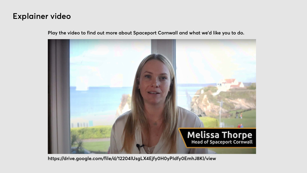#### **Explainer video**

**Play the video to find out more about Spaceport Cornwall and what we'd like you to do.**



**https://drive.google.com/file/d/12204lUsgLX4Ejfy0H0yPIdfy0EmhJ8Kl/view**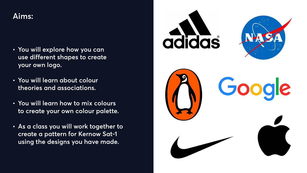- **• You will explore how you can use different shapes to create your own logo.**
- **• You will learn about colour theories and associations.**
- **• You will learn how to mix colours to create your own colour palette.**
- **• As a class you will work together to create a pattern for Kernow Sat-1 using the designs you have made.**



#### **Aims:**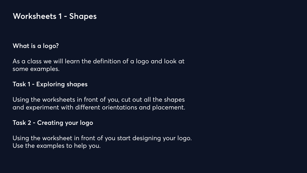**What is a logo?**

As a class we will learn the definition of a logo and look at some examples.

#### **Task 1 - Exploring shapes**

Using the worksheets in front of you, cut out all the shapes and experiment with different orientations and placement.

#### **Task 2 - Creating your logo**

Using the worksheet in front of you start designing your logo. Use the examples to help you.

#### **Worksheets 1 - Shapes**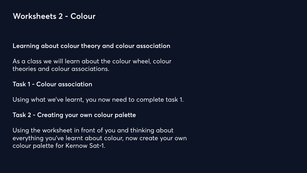#### **Learning about colour theory and colour association**

As a class we will learn about the colour wheel, colour theories and colour associations.

#### **Task 1 - Colour association**

Using what we've learnt, you now need to complete task 1.

#### **Task 2 - Creating your own colour palette**

Using the worksheet in front of you and thinking about everything you've learnt about colour, now create your own colour palette for Kernow Sat-1.

#### **Worksheets 2 - Colour**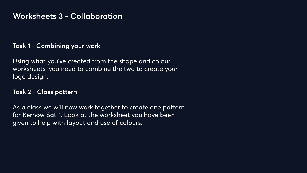#### **Task 1 - Combining your work**

Using what you've created from the shape and colour worksheets, you need to combine the two to create your logo design.

#### **Task 2 - Class pattern**

As a class we will now work together to create one pattern for Kernow Sat-1. Look at the worksheet you have been given to help with layout and use of colours.

#### **Worksheets 3 - Collaboration**